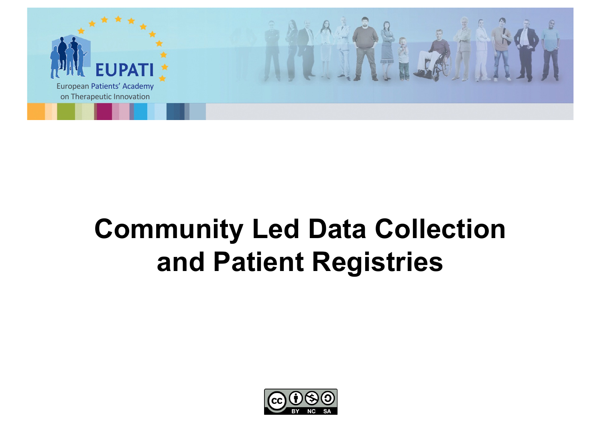

# **Community Led Data Collection and Patient Registries**

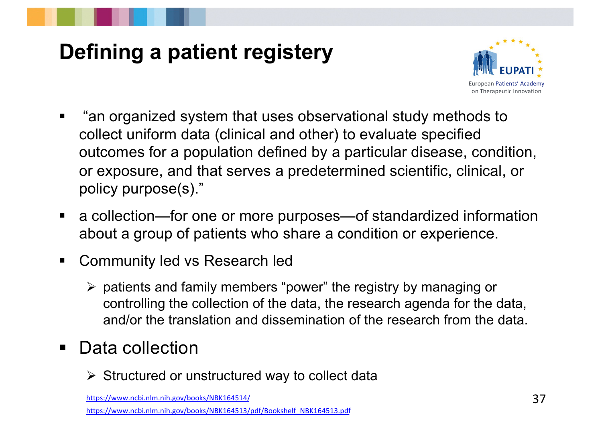# **Defining a patient registery**



- § "an organized system that uses observational study methods to collect uniform data (clinical and other) to evaluate specified outcomes for a population defined by a particular disease, condition, or exposure, and that serves a predetermined scientific, clinical, or policy purpose(s)."
- a collection—for one or more purposes—of standardized information about a group of patients who share a condition or experience.
- Community led vs Research led
	- $\triangleright$  patients and family members "power" the registry by managing or controlling the collection of the data, the research agenda for the data, and/or the translation and dissemination of the research from the data.
- Data collection
	- $\triangleright$  Structured or unstructured way to collect data

[https://www.ncbi.nlm.nih.gov/books/NBK1](https://www.ncbi.nlm.nih.gov/books/NBK164514/)64514/

[https://www.ncbi.nlm.nih.gov/books/NBK164513/pdf/Bookshelf\\_NBK164](https://www.ncbi.nlm.nih.gov/books/NBK164513/pdf/Bookshelf_NBK164513.pdf)513.pdf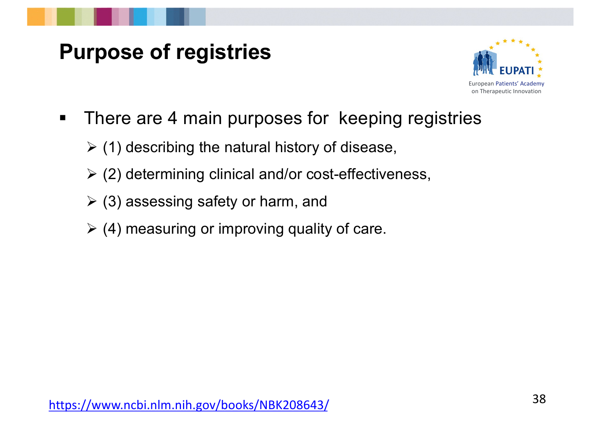#### **Purpose of registries**



- There are 4 main purposes for keeping registries
	- $\geq$  (1) describing the natural history of disease,
	- $\geq$  (2) determining clinical and/or cost-effectiveness,
	- $\triangleright$  (3) assessing safety or harm, and
	- $\geq$  (4) measuring or improving quality of care.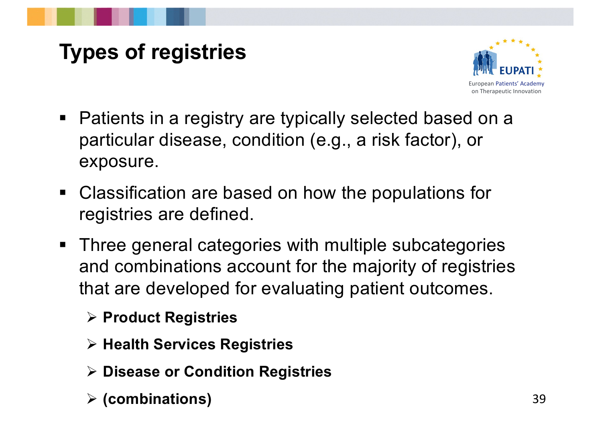# **Types of registries**



- Patients in a registry are typically selected based on a particular disease, condition (e.g., a risk factor), or exposure.
- Classification are based on how the populations for registries are defined.
- Three general categories with multiple subcategories and combinations account for the majority of registries that are developed for evaluating patient outcomes.
	- Ø **Product Registries**
	- Ø **Health Services Registries**
	- Ø **Disease or Condition Registries**
	- Ø **(combinations)** 39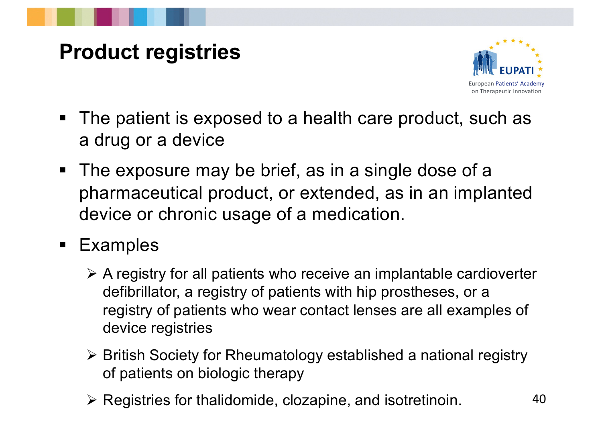### **Product registries**



- The patient is exposed to a health care product, such as a drug or a device
- The exposure may be brief, as in a single dose of a pharmaceutical product, or extended, as in an implanted device or chronic usage of a medication.
- § Examples
	- $\triangleright$  A registry for all patients who receive an implantable cardioverter defibrillator, a registry of patients with hip prostheses, or a registry of patients who wear contact lenses are all examples of device registries
	- Ø British Society for Rheumatology established a national registry of patients on biologic therapy
	- $\triangleright$  Registries for thalidomide, clozapine, and isotretinoin. 40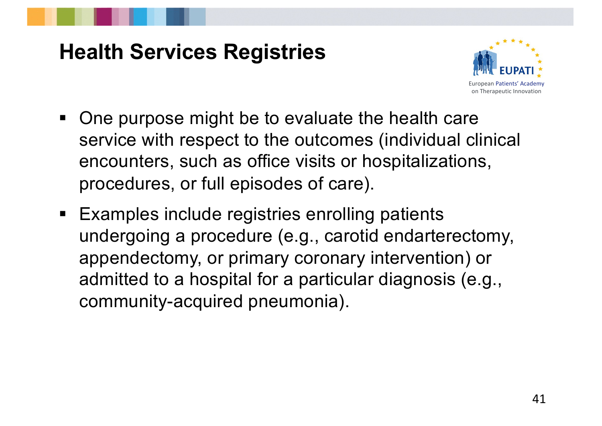#### **Health Services Registries**



- One purpose might be to evaluate the health care service with respect to the outcomes (individual clinical encounters, such as office visits or hospitalizations, procedures, or full episodes of care).
- Examples include registries enrolling patients undergoing a procedure (e.g., carotid endarterectomy, appendectomy, or primary coronary intervention) or admitted to a hospital for a particular diagnosis (e.g., community-acquired pneumonia).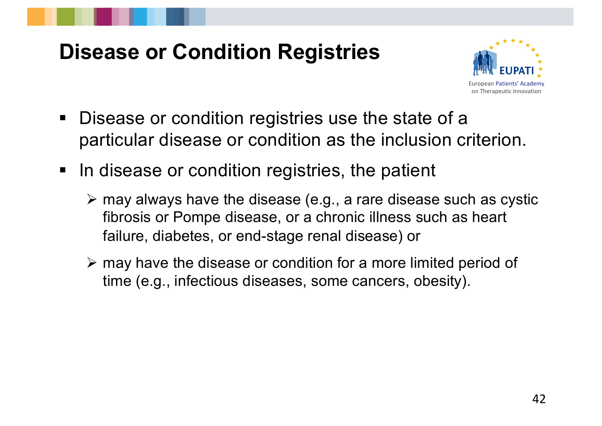## **Disease or Condition Registries**



- Disease or condition registries use the state of a particular disease or condition as the inclusion criterion.
- In disease or condition registries, the patient
	- $\triangleright$  may always have the disease (e.g., a rare disease such as cystic fibrosis or Pompe disease, or a chronic illness such as heart failure, diabetes, or end-stage renal disease) or
	- $\triangleright$  may have the disease or condition for a more limited period of time (e.g., infectious diseases, some cancers, obesity).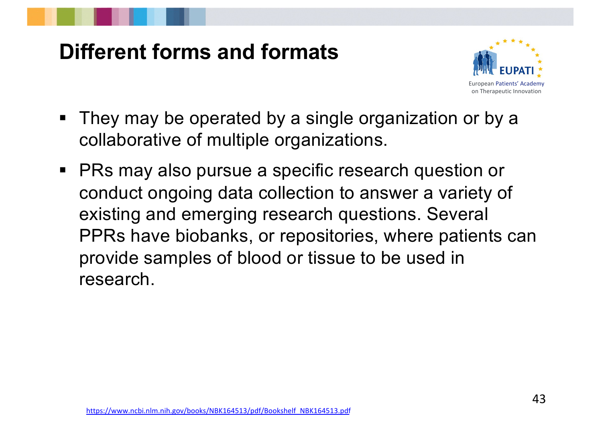#### **Different forms and formats**



- They may be operated by a single organization or by a collaborative of multiple organizations.
- PRs may also pursue a specific research question or conduct ongoing data collection to answer a variety of existing and emerging research questions. Several PPRs have biobanks, or repositories, where patients can provide samples of blood or tissue to be used in research.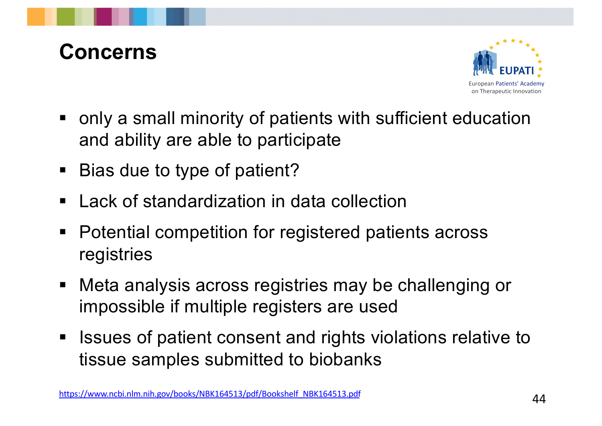#### **Concerns**



- only a small minority of patients with sufficient education and ability are able to participate
- Bias due to type of patient?
- Lack of standardization in data collection
- Potential competition for registered patients across registries
- Meta analysis across registries may be challenging or impossible if multiple registers are used
- Issues of patient consent and rights violations relative to tissue samples submitted to biobanks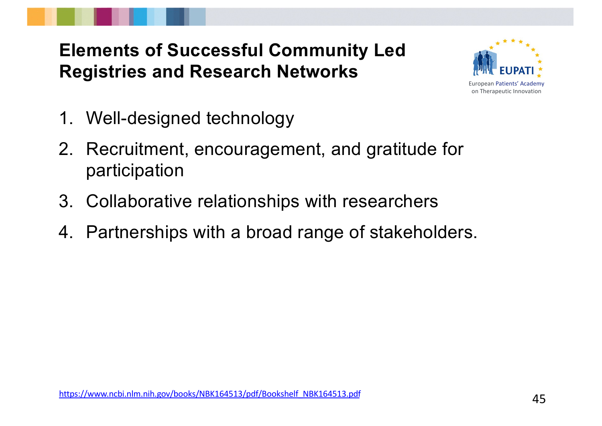# **Elements of Successful Community Led Registries and Research Networks**



- 1. Well-designed technology
- 2. Recruitment, encouragement, and gratitude for participation
- 3. Collaborative relationships with researchers
- 4. Partnerships with a broad range of stakeholders.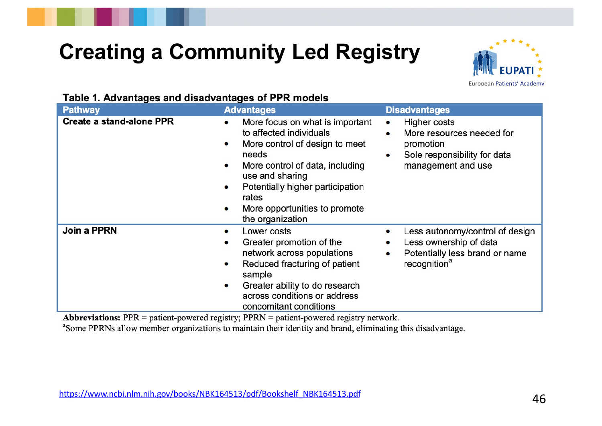# **Creating a Community Led Registry**



#### Table 1 Advantages and disadvantages of PPR models

| <b>Pathway</b>                  | 5000 OF FRIDA<br><b>Advantages</b>                                                                                                                                                                                                                            | <b>Disadvantages</b>                                                                                                                 |
|---------------------------------|---------------------------------------------------------------------------------------------------------------------------------------------------------------------------------------------------------------------------------------------------------------|--------------------------------------------------------------------------------------------------------------------------------------|
| <b>Create a stand-alone PPR</b> | More focus on what is important<br>to affected individuals<br>More control of design to meet<br>needs<br>More control of data, including<br>use and sharing<br>Potentially higher participation<br>rates<br>More opportunities to promote<br>the organization | Higher costs<br>More resources needed for<br>promotion<br>Sole responsibility for data<br>$\bullet$<br>management and use            |
| <b>Join a PPRN</b>              | Lower costs<br>Greater promotion of the<br>network across populations<br>Reduced fracturing of patient<br>۰<br>sample<br>Greater ability to do research<br>across conditions or address<br>concomitant conditions                                             | Less autonomy/control of design<br>Less ownership of data<br>Potentially less brand or name<br>$\bullet$<br>recognition <sup>a</sup> |

**Abbreviations:**  $PPR =$  patient-powered registry;  $PPRN =$  patient-powered registry network.

<sup>a</sup>Some PPRNs allow member organizations to maintain their identity and brand, eliminating this disadvantage.